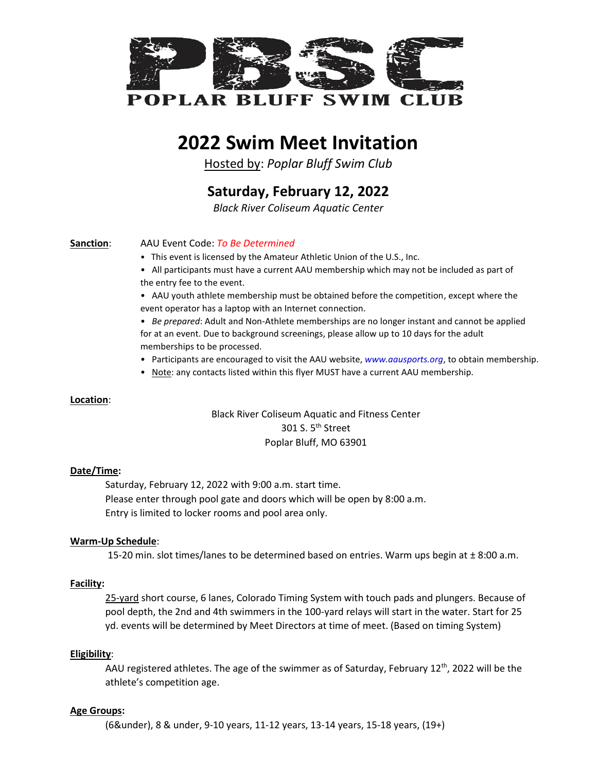

## **2022 Swim Meet Invitation**

Hosted by: *Poplar Bluff Swim Club*

**Saturday, February 12, 2022**

*Black River Coliseum Aquatic Center*

#### **Sanction**: AAU Event Code: *To Be Determined*

- This event is licensed by the Amateur Athletic Union of the U.S., Inc.
- All participants must have a current AAU membership which may not be included as part of the entry fee to the event.
- AAU youth athlete membership must be obtained before the competition, except where the event operator has a laptop with an Internet connection.

• *Be prepared*: Adult and Non-Athlete memberships are no longer instant and cannot be applied for at an event. Due to background screenings, please allow up to 10 days for the adult memberships to be processed.

- Participants are encouraged to visit the AAU website, *www.aausports.org*, to obtain membership.
- Note: any contacts listed within this flyer MUST have a current AAU membership.

#### **Location**:

Black River Coliseum Aquatic and Fitness Center 301 S. 5<sup>th</sup> Street Poplar Bluff, MO 63901

#### **Date/Time:**

Saturday, February 12, 2022 with 9:00 a.m. start time. Please enter through pool gate and doors which will be open by 8:00 a.m. Entry is limited to locker rooms and pool area only.

#### **Warm-Up Schedule**:

15-20 min. slot times/lanes to be determined based on entries. Warm ups begin at  $\pm$  8:00 a.m.

#### **Facility:**

25-yard short course, 6 lanes, Colorado Timing System with touch pads and plungers. Because of pool depth, the 2nd and 4th swimmers in the 100-yard relays will start in the water. Start for 25 yd. events will be determined by Meet Directors at time of meet. (Based on timing System)

#### **Eligibility**:

AAU registered athletes. The age of the swimmer as of Saturday, February 12<sup>th</sup>, 2022 will be the athlete's competition age.

#### **Age Groups:**

(6&under), 8 & under, 9-10 years, 11-12 years, 13-14 years, 15-18 years, (19+)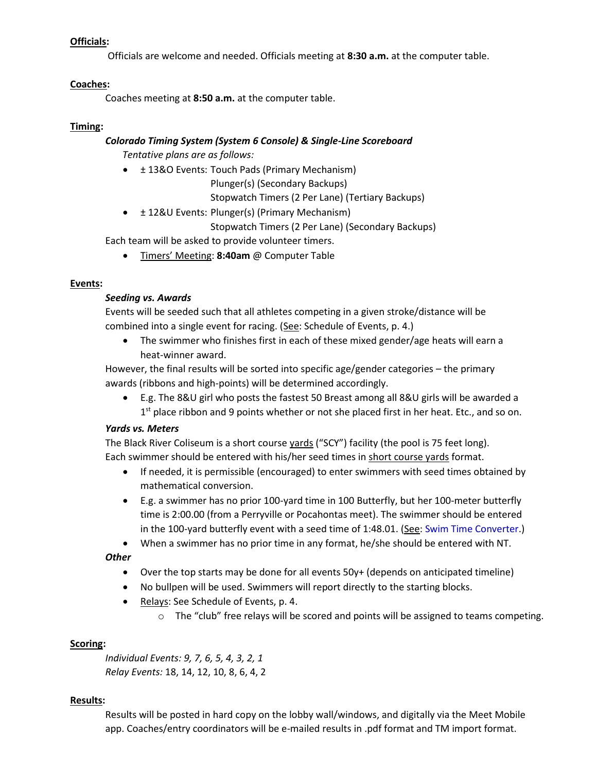#### **Officials:**

Officials are welcome and needed. Officials meeting at **8:30 a.m.** at the computer table.

#### **Coaches:**

Coaches meeting at **8:50 a.m.** at the computer table.

#### **Timing:**

#### *Colorado Timing System (System 6 Console) & Single-Line Scoreboard*

*Tentative plans are as follows:*

• ± 13&O Events: Touch Pads (Primary Mechanism)

Plunger(s) (Secondary Backups)

Stopwatch Timers (2 Per Lane) (Tertiary Backups)

• ± 12&U Events: Plunger(s) (Primary Mechanism)

Stopwatch Timers (2 Per Lane) (Secondary Backups)

Each team will be asked to provide volunteer timers.

• Timers' Meeting: **8:40am** @ Computer Table

### **Events:**

### *Seeding vs. Awards*

Events will be seeded such that all athletes competing in a given stroke/distance will be combined into a single event for racing. (See: Schedule of Events, p. 4.)

The swimmer who finishes first in each of these mixed gender/age heats will earn a heat-winner award.

However, the final results will be sorted into specific age/gender categories – the primary awards (ribbons and high-points) will be determined accordingly.

• E.g. The 8&U girl who posts the fastest 50 Breast among all 8&U girls will be awarded a 1<sup>st</sup> place ribbon and 9 points whether or not she placed first in her heat. Etc., and so on.

### *Yards vs. Meters*

The Black River Coliseum is a short course yards ("SCY") facility (the pool is 75 feet long). Each swimmer should be entered with his/her seed times in short course yards format.

- If needed, it is permissible (encouraged) to enter swimmers with seed times obtained by mathematical conversion.
- E.g. a swimmer has no prior 100-yard time in 100 Butterfly, but her 100-meter butterfly time is 2:00.00 (from a Perryville or Pocahontas meet). The swimmer should be entered in the 100-yard butterfly event with a seed time of  $1:48.01$ . (See: [Swim Time Converter.](https://www.swimmingworldmagazine.com/time-conversion))
- When a swimmer has no prior time in any format, he/she should be entered with NT.

### *Other*

- Over the top starts may be done for all events 50y+ (depends on anticipated timeline)
- No bullpen will be used. Swimmers will report directly to the starting blocks.
- Relays: See Schedule of Events, p. 4.
	- o The "club" free relays will be scored and points will be assigned to teams competing.

### **Scoring:**

*Individual Events: 9, 7, 6, 5, 4, 3, 2, 1 Relay Events:* 18, 14, 12, 10, 8, 6, 4, 2

#### **Results:**

Results will be posted in hard copy on the lobby wall/windows, and digitally via the Meet Mobile app. Coaches/entry coordinators will be e-mailed results in .pdf format and TM import format.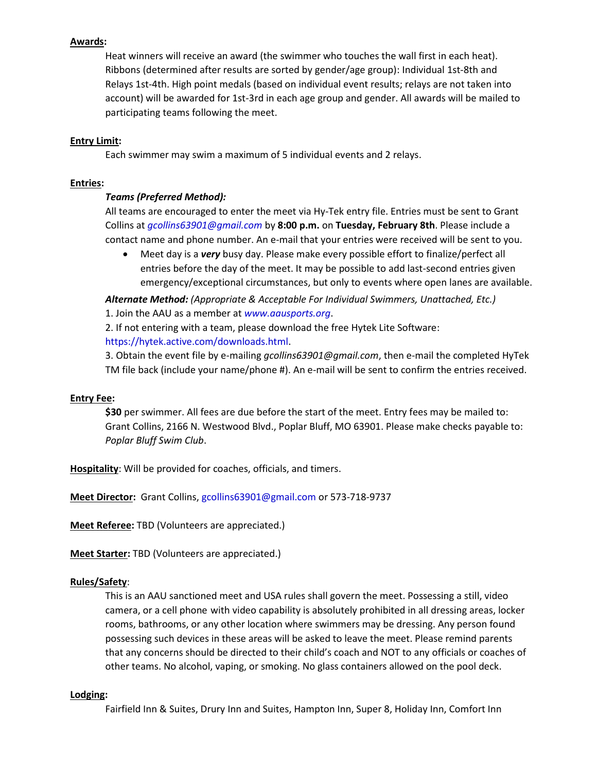#### **Awards:**

Heat winners will receive an award (the swimmer who touches the wall first in each heat). Ribbons (determined after results are sorted by gender/age group): Individual 1st-8th and Relays 1st-4th. High point medals (based on individual event results; relays are not taken into account) will be awarded for 1st-3rd in each age group and gender. All awards will be mailed to participating teams following the meet.

#### **Entry Limit:**

Each swimmer may swim a maximum of 5 individual events and 2 relays.

#### **Entries:**

#### *Teams (Preferred Method):*

All teams are encouraged to enter the meet via Hy-Tek entry file. Entries must be sent to Grant Collins at *gcollins63901@gmail.com* by **8:00 p.m.** on **Tuesday, February 8th**. Please include a contact name and phone number. An e-mail that your entries were received will be sent to you.

• Meet day is a *very* busy day. Please make every possible effort to finalize/perfect all entries before the day of the meet. It may be possible to add last-second entries given emergency/exceptional circumstances, but only to events where open lanes are available.

*Alternate Method: (Appropriate & Acceptable For Individual Swimmers, Unattached, Etc.)* 1. Join the AAU as a member at *www.aausports.org*.

2. If not entering with a team, please download the free Hytek Lite Software: [https://hytek.active.com/downloads.html.](https://hytek.active.com/downloads.html)

3. Obtain the event file by e-mailing *gcollins63901@gmail.com*, then e-mail the completed HyTek TM file back (include your name/phone #). An e-mail will be sent to confirm the entries received.

#### **Entry Fee:**

**\$30** per swimmer. All fees are due before the start of the meet. Entry fees may be mailed to: Grant Collins, 2166 N. Westwood Blvd., Poplar Bluff, MO 63901. Please make checks payable to: *Poplar Bluff Swim Club*.

**Hospitality**: Will be provided for coaches, officials, and timers.

**Meet Director:** Grant Collins, gcollins63901@gmail.com or 573-718-9737

**Meet Referee:** TBD (Volunteers are appreciated.)

**Meet Starter:** TBD (Volunteers are appreciated.)

#### **Rules/Safety**:

This is an AAU sanctioned meet and USA rules shall govern the meet. Possessing a still, video camera, or a cell phone with video capability is absolutely prohibited in all dressing areas, locker rooms, bathrooms, or any other location where swimmers may be dressing. Any person found possessing such devices in these areas will be asked to leave the meet. Please remind parents that any concerns should be directed to their child's coach and NOT to any officials or coaches of other teams. No alcohol, vaping, or smoking. No glass containers allowed on the pool deck.

#### **Lodging:**

Fairfield Inn & Suites, Drury Inn and Suites, Hampton Inn, Super 8, Holiday Inn, Comfort Inn